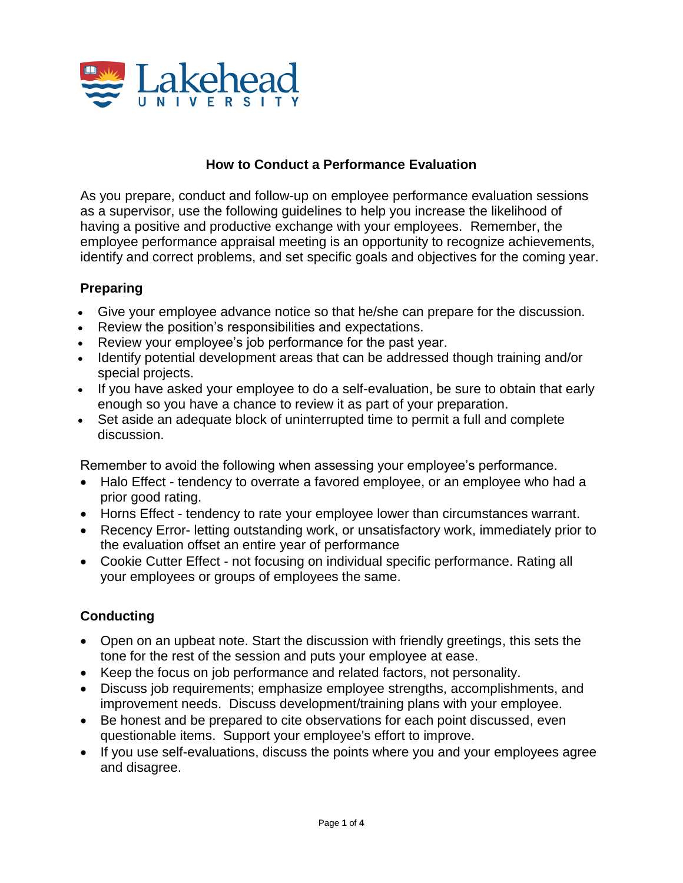

# **How to Conduct a Performance Evaluation**

As you prepare, conduct and follow-up on employee performance evaluation sessions as a supervisor, use the following guidelines to help you increase the likelihood of having a positive and productive exchange with your employees. Remember, the employee performance appraisal meeting is an opportunity to recognize achievements, identify and correct problems, and set specific goals and objectives for the coming year.

# **Preparing**

- Give your employee advance notice so that he/she can prepare for the discussion.
- Review the position's responsibilities and expectations.
- Review your employee's job performance for the past year.
- Identify potential development areas that can be addressed though training and/or special projects.
- If you have asked your employee to do a self-evaluation, be sure to obtain that early enough so you have a chance to review it as part of your preparation.
- Set aside an adequate block of uninterrupted time to permit a full and complete discussion.

Remember to avoid the following when assessing your employee's performance.

- Halo Effect tendency to overrate a favored employee, or an employee who had a prior good rating.
- Horns Effect tendency to rate your employee lower than circumstances warrant.
- Recency Error- letting outstanding work, or unsatisfactory work, immediately prior to the evaluation offset an entire year of performance
- Cookie Cutter Effect not focusing on individual specific performance. Rating all your employees or groups of employees the same.

#### **Conducting**

- Open on an upbeat note. Start the discussion with friendly greetings, this sets the tone for the rest of the session and puts your employee at ease.
- Keep the focus on job performance and related factors, not personality.
- Discuss job requirements; emphasize employee strengths, accomplishments, and improvement needs. Discuss development/training plans with your employee.
- Be honest and be prepared to cite observations for each point discussed, even questionable items. Support your employee's effort to improve.
- If you use self-evaluations, discuss the points where you and your employees agree and disagree.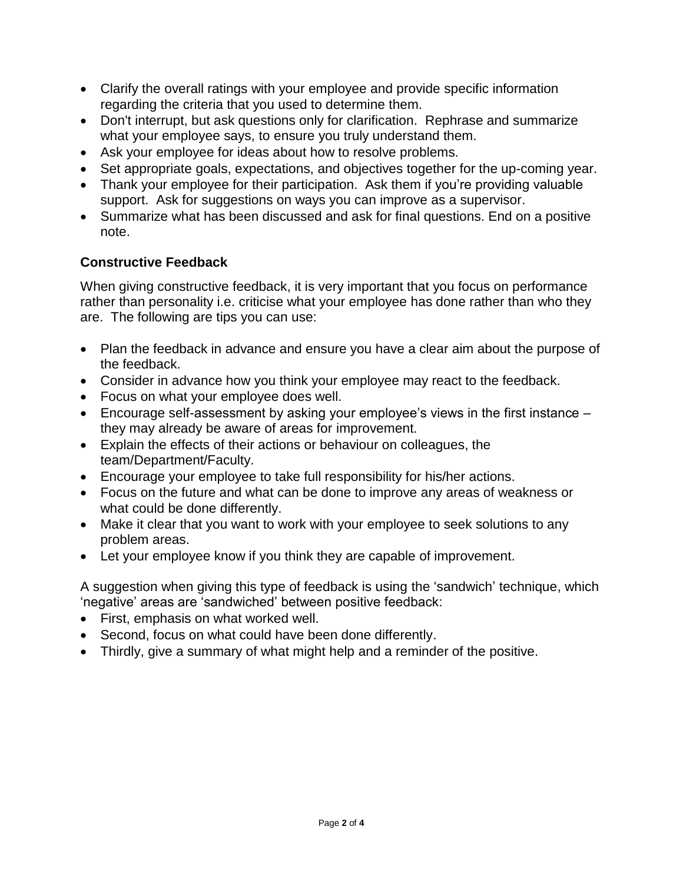- Clarify the overall ratings with your employee and provide specific information regarding the criteria that you used to determine them.
- Don't interrupt, but ask questions only for clarification. Rephrase and summarize what your employee says, to ensure you truly understand them.
- Ask your employee for ideas about how to resolve problems.
- Set appropriate goals, expectations, and objectives together for the up-coming year.
- Thank your employee for their participation. Ask them if you're providing valuable support. Ask for suggestions on ways you can improve as a supervisor.
- Summarize what has been discussed and ask for final questions. End on a positive note.

# **Constructive Feedback**

When giving constructive feedback, it is very important that you focus on performance rather than personality i.e. criticise what your employee has done rather than who they are. The following are tips you can use:

- Plan the feedback in advance and ensure you have a clear aim about the purpose of the feedback.
- Consider in advance how you think your employee may react to the feedback.
- Focus on what your employee does well.
- Encourage self-assessment by asking your employee's views in the first instance they may already be aware of areas for improvement.
- Explain the effects of their actions or behaviour on colleagues, the team/Department/Faculty.
- Encourage your employee to take full responsibility for his/her actions.
- Focus on the future and what can be done to improve any areas of weakness or what could be done differently.
- Make it clear that you want to work with your employee to seek solutions to any problem areas.
- Let your employee know if you think they are capable of improvement.

A suggestion when giving this type of feedback is using the 'sandwich' technique, which 'negative' areas are 'sandwiched' between positive feedback:

- First, emphasis on what worked well.
- Second, focus on what could have been done differently.
- Thirdly, give a summary of what might help and a reminder of the positive.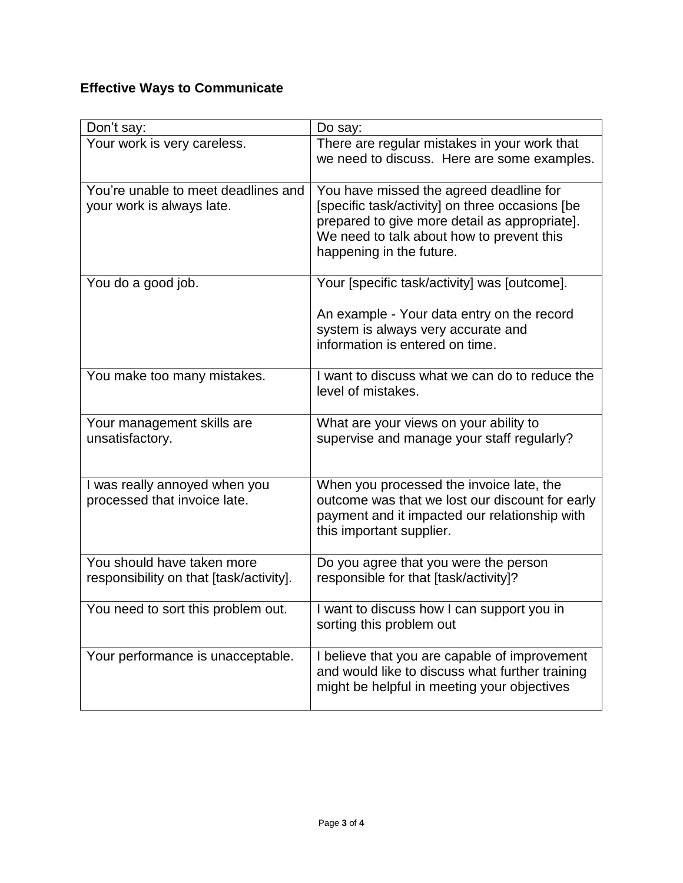# **Effective Ways to Communicate**

| Don't say:                                                            | Do say:                                                                                                                                                                                                              |
|-----------------------------------------------------------------------|----------------------------------------------------------------------------------------------------------------------------------------------------------------------------------------------------------------------|
| Your work is very careless.                                           | There are regular mistakes in your work that<br>we need to discuss. Here are some examples.                                                                                                                          |
| You're unable to meet deadlines and<br>your work is always late.      | You have missed the agreed deadline for<br>[specific task/activity] on three occasions [be<br>prepared to give more detail as appropriate].<br>We need to talk about how to prevent this<br>happening in the future. |
| You do a good job.                                                    | Your [specific task/activity] was [outcome].<br>An example - Your data entry on the record<br>system is always very accurate and<br>information is entered on time.                                                  |
| You make too many mistakes.                                           | I want to discuss what we can do to reduce the<br>level of mistakes.                                                                                                                                                 |
| Your management skills are<br>unsatisfactory.                         | What are your views on your ability to<br>supervise and manage your staff regularly?                                                                                                                                 |
| I was really annoyed when you<br>processed that invoice late.         | When you processed the invoice late, the<br>outcome was that we lost our discount for early<br>payment and it impacted our relationship with<br>this important supplier.                                             |
| You should have taken more<br>responsibility on that [task/activity]. | Do you agree that you were the person<br>responsible for that [task/activity]?                                                                                                                                       |
| You need to sort this problem out.                                    | I want to discuss how I can support you in<br>sorting this problem out                                                                                                                                               |
| Your performance is unacceptable.                                     | I believe that you are capable of improvement<br>and would like to discuss what further training<br>might be helpful in meeting your objectives                                                                      |